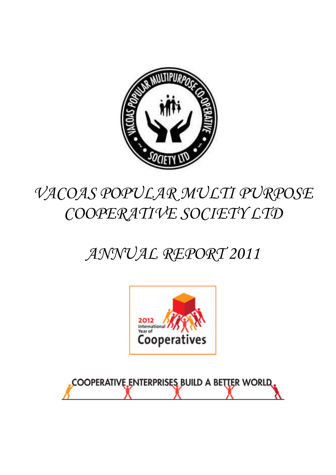

# *VACOAS POPULAR MULTI PURPOSE COOPERATIVE SOCIETY LTD*

# *ANNUAL REPORT 2011*



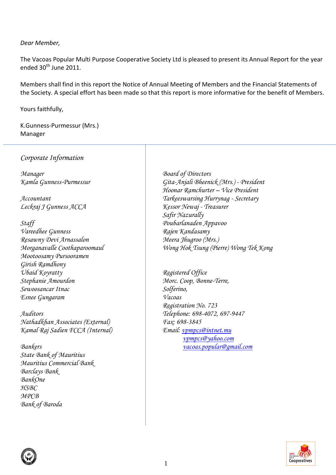## *Dear Member,*

The Vacoas Popular Multi Purpose Cooperative Society Ltd is pleased to present its Annual Report for the year ended  $30<sup>th</sup>$  June 2011.

Members shall find in this report the Notice of Annual Meeting of Members and the Financial Statements of the Society. A special effort has been made so that this report is more informative for the benefit of Members.

Yours faithfully,

K.Gunness-Purmessur (Mrs.) Manager

*Corporate Information*

*Manager Board of Directors*

*Leckraj J Gunness ACCA Kessor Newaj - Treasurer*

*Vareedhee Gunness Rajen Kandasamy Resawny Devi Arnassalon Meera Jhugroo (Mrs.) Mootoosamy Pursooramen Girish Ramdhony Ubaid Koyratty Registered Office Stephanie Amourdon Morc. Coop, Bonne-Terre, Sewoosancar Itnac Solferino, Esnee Gungaram Vacoas*

*Auditors Telephone: 698-4072, 697-9447 Nathadkhan Associates (External) Fax: 698-3845 Kamal Raj Sadien FCCA (Internal) Email: [vpmpcs@intnet.mu](mailto:vpmpcs@intnet.mu)*

*State Bank of Mauritius Mauritius Commercial Bank Barclays Bank BankOne HSBC MPCB Bank of Baroda*

*Kamla Gunness-Purmessur Gita-Anjali Bheenick (Mrs.) - President Hoonar Ramchurter – Vice President Accountant Tarkeeswarsing Hurrynag - Secretary Safir Nazurally Staff Poubarlanaden Appavoo Morganavalle Coothaparoomaul Wong Hok Tsung (Pierre) Wong Tek Kong*

*Registration No. 723 [vpmpcs@yahoo.com](mailto:vpmpcs@yahoo.com) Bankers [vacoas.popular@gmail.com](mailto:vacoas.popular@gmail.com)*



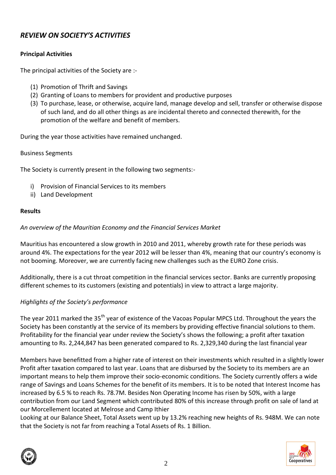# *REVIEW ON SOCIETY'S ACTIVITIES*

# **Principal Activities**

The principal activities of the Society are :-

- (1) Promotion of Thrift and Savings
- (2) Granting of Loans to members for provident and productive purposes
- (3) To purchase, lease, or otherwise, acquire land, manage develop and sell, transfer or otherwise dispose of such land, and do all other things as are incidental thereto and connected therewith, for the promotion of the welfare and benefit of members.

During the year those activities have remained unchanged.

## Business Segments

The Society is currently present in the following two segments:-

- i) Provision of Financial Services to its members
- ii) Land Development

# **Results**

# *An overview of the Mauritian Economy and the Financial Services Market*

Mauritius has encountered a slow growth in 2010 and 2011, whereby growth rate for these periods was around 4%. The expectations for the year 2012 will be lesser than 4%, meaning that our country's economy is not booming. Moreover, we are currently facing new challenges such as the EURO Zone crisis.

Additionally, there is a cut throat competition in the financial services sector. Banks are currently proposing different schemes to its customers (existing and potentials) in view to attract a large majority.

# *Highlights of the Society's performance*

The year 2011 marked the 35<sup>th</sup> year of existence of the Vacoas Popular MPCS Ltd. Throughout the years the Society has been constantly at the service of its members by providing effective financial solutions to them. Profitability for the financial year under review the Society's shows the following; a profit after taxation amounting to Rs. 2,244,847 has been generated compared to Rs. 2,329,340 during the last financial year

Members have benefitted from a higher rate of interest on their investments which resulted in a slightly lower Profit after taxation compared to last year. Loans that are disbursed by the Society to its members are an important means to help them improve their socio-economic conditions. The Society currently offers a wide range of Savings and Loans Schemes for the benefit of its members. It is to be noted that Interest Income has increased by 6.5 % to reach Rs. 78.7M. Besides Non Operating Income has risen by 50%, with a large contribution from our Land Segment which contributed 80% of this increase through profit on sale of land at our Morcellement located at Melrose and Camp Ithier

Looking at our Balance Sheet, Total Assets went up by 13.2% reaching new heights of Rs. 948M. We can note that the Society is not far from reaching a Total Assets of Rs. 1 Billion.



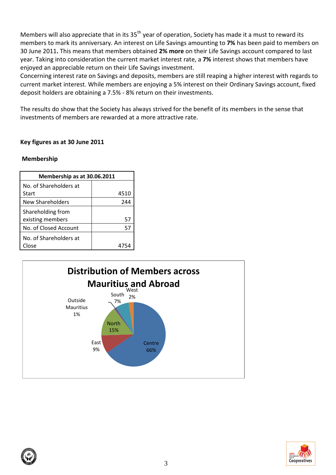Members will also appreciate that in its 35<sup>th</sup> year of operation, Society has made it a must to reward its members to mark its anniversary. An interest on Life Savings amounting to **7%** has been paid to members on 30 June 2011**.** This means that members obtained **2% more** on their Life Savings account compared to last year. Taking into consideration the current market interest rate, a **7%** interest shows that members have enjoyed an appreciable return on their Life Savings investment.

Concerning interest rate on Savings and deposits, members are still reaping a higher interest with regards to current market interest. While members are enjoying a 5% interest on their Ordinary Savings account, fixed deposit holders are obtaining a 7.5% - 8% return on their investments.

The results do show that the Society has always strived for the benefit of its members in the sense that investments of members are rewarded at a more attractive rate.

## **Key figures as at 30 June 2011**

## **Membership**

| Membership as at 30.06.2011 |      |  |  |
|-----------------------------|------|--|--|
| No. of Shareholders at      |      |  |  |
| Start                       | 4510 |  |  |
| New Shareholders            | 244  |  |  |
| Shareholding from           |      |  |  |
| existing members            | 57   |  |  |
| No. of Closed Account       | 57   |  |  |
| No. of Shareholders at      |      |  |  |
| Close                       |      |  |  |



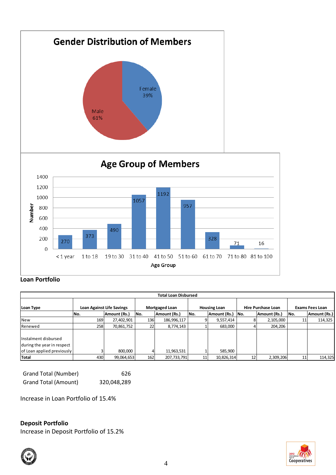

# **Loan Portfolio**

| <b>Total Loan Disbursed</b> |     |                                  |     |                       |     |                     |        |                           |     |                        |
|-----------------------------|-----|----------------------------------|-----|-----------------------|-----|---------------------|--------|---------------------------|-----|------------------------|
| Loan Type                   |     | <b>Loan Against Life Savings</b> |     | <b>Mortgaged Loan</b> |     | <b>Housing Loan</b> |        | <b>Hire Purchase Loan</b> |     | <b>Exams Fees Loan</b> |
|                             | No. | Amount (Rs.)                     | No. | Amount (Rs.)          | No. | Amount (Rs.)        | `  No. | Amount (Rs.)              | No. | Amount (Rs.)           |
| <b>New</b>                  | 169 | 27,402,901                       | 136 | 186,996,117           |     | 9,557,414           | 8      | 2,105,000                 | 11  | 114,325                |
| Renewed                     | 258 | 70,861,752                       | 22  | 8,774,143             |     | 683,000             |        | 204,206                   |     |                        |
|                             |     |                                  |     |                       |     |                     |        |                           |     |                        |
| Instalment disbursed        |     |                                  |     |                       |     |                     |        |                           |     |                        |
| during the year in respect  |     |                                  |     |                       |     |                     |        |                           |     |                        |
| of Loan applied previously  |     | 800,000                          |     | 11,963,531            |     | 585,900             |        |                           |     |                        |
| Total                       | 430 | 99,064,653                       | 162 | 207,733,791           | 11  | 10,826,314          | 12     | 2,309,206                 | 11  | 114,325                |

| Grand Total (Number) | 626         |
|----------------------|-------------|
| Grand Total (Amount) | 320,048,289 |

Increase in Loan Portfolio of 15.4%

## **Deposit Portfolio**

Increase in Deposit Portfolio of 15.2%



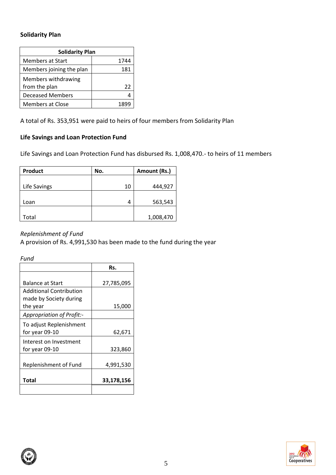## **Solidarity Plan**

| <b>Solidarity Plan</b>               |      |  |  |  |
|--------------------------------------|------|--|--|--|
| <b>Members at Start</b>              | 1744 |  |  |  |
| Members joining the plan             | 181  |  |  |  |
| Members withdrawing<br>from the plan | 22   |  |  |  |
| <b>Deceased Members</b>              | Д    |  |  |  |
| <b>Members at Close</b>              |      |  |  |  |

A total of Rs. 353,951 were paid to heirs of four members from Solidarity Plan

# **Life Savings and Loan Protection Fund**

Life Savings and Loan Protection Fund has disbursed Rs. 1,008,470.- to heirs of 11 members

| <b>Product</b> | No. | Amount (Rs.) |
|----------------|-----|--------------|
|                |     |              |
| Life Savings   | 10  | 444,927      |
|                |     |              |
| Loan           | 4   | 563,543      |
|                |     |              |
| Total          |     | 1,008,470    |

# *Replenishment of Fund*

A provision of Rs. 4,991,530 has been made to the fund during the year

*Fund*

|                                                          | Rs.        |
|----------------------------------------------------------|------------|
| <b>Balance at Start</b>                                  | 27,785,095 |
| <b>Additional Contribution</b><br>made by Society during |            |
| the year                                                 | 15,000     |
| <b>Appropriation of Profit:-</b>                         |            |
| To adjust Replenishment<br>for year 09-10                | 62,671     |
| Interest on Investment<br>for year 09-10                 | 323,860    |
| Replenishment of Fund                                    | 4,991,530  |
| Total                                                    | 33,178,156 |
|                                                          |            |

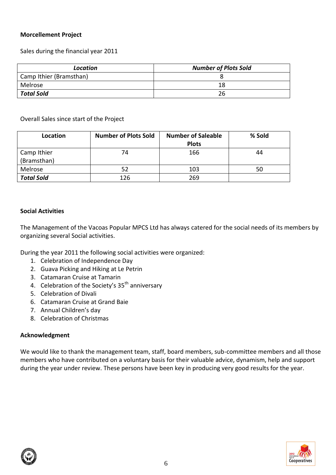## **Morcellement Project**

Sales during the financial year 2011

| Location                | <b>Number of Plots Sold</b> |
|-------------------------|-----------------------------|
| Camp Ithier (Bramsthan) |                             |
| Melrose                 | 18                          |
| <b>Total Sold</b>       | 26                          |

Overall Sales since start of the Project

| Location          | <b>Number of Plots Sold</b> | <b>Number of Saleable</b> | % Sold |
|-------------------|-----------------------------|---------------------------|--------|
|                   |                             | <b>Plots</b>              |        |
| Camp Ithier       | 74                          | 166                       | 44     |
| (Bramsthan)       |                             |                           |        |
| Melrose           | 52                          | 103                       | 50     |
| <b>Total Sold</b> | 126                         | 269                       |        |

## **Social Activities**

The Management of the Vacoas Popular MPCS Ltd has always catered for the social needs of its members by organizing several Social activities.

During the year 2011 the following social activities were organized:

- 1. Celebration of Independence Day
- 2. Guava Picking and Hiking at Le Petrin
- 3. Catamaran Cruise at Tamarin
- 4. Celebration of the Society's  $35<sup>th</sup>$  anniversary
- 5. Celebration of Divali
- 6. Catamaran Cruise at Grand Baie
- 7. Annual Children's day
- 8. Celebration of Christmas

## **Acknowledgment**

We would like to thank the management team, staff, board members, sub-committee members and all those members who have contributed on a voluntary basis for their valuable advice, dynamism, help and support during the year under review. These persons have been key in producing very good results for the year.

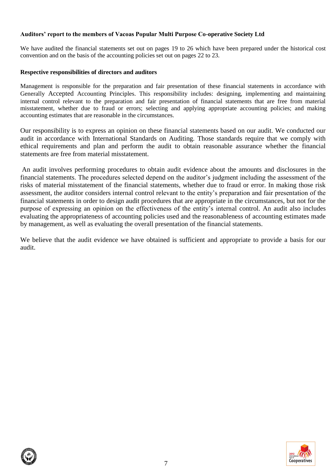## **Auditors' report to the members of Vacoas Popular Multi Purpose Co-operative Society Ltd**

We have audited the financial statements set out on pages 19 to 26 which have been prepared under the historical cost convention and on the basis of the accounting policies set out on pages 22 to 23.

#### **Respective responsibilities of directors and auditors**

Management is responsible for the preparation and fair presentation of these financial statements in accordance with Generally Accepted Accounting Principles. This responsibility includes: designing, implementing and maintaining internal control relevant to the preparation and fair presentation of financial statements that are free from material misstatement, whether due to fraud or errors; selecting and applying appropriate accounting policies; and making accounting estimates that are reasonable in the circumstances.

Our responsibility is to express an opinion on these financial statements based on our audit. We conducted our audit in accordance with International Standards on Auditing. Those standards require that we comply with ethical requirements and plan and perform the audit to obtain reasonable assurance whether the financial statements are free from material misstatement.

An audit involves performing procedures to obtain audit evidence about the amounts and disclosures in the financial statements. The procedures selected depend on the auditor's judgment including the assessment of the risks of material misstatement of the financial statements, whether due to fraud or error. In making those risk assessment, the auditor considers internal control relevant to the entity's preparation and fair presentation of the financial statements in order to design audit procedures that are appropriate in the circumstances, but not for the purpose of expressing an opinion on the effectiveness of the entity's internal control. An audit also includes evaluating the appropriateness of accounting policies used and the reasonableness of accounting estimates made by management, as well as evaluating the overall presentation of the financial statements.

We believe that the audit evidence we have obtained is sufficient and appropriate to provide a basis for our audit.

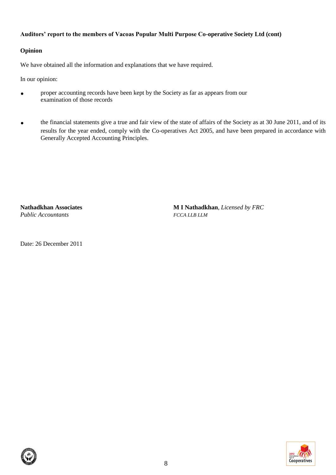## **Auditors' report to the members of Vacoas Popular Multi Purpose Co-operative Society Ltd (cont)**

## **Opinion**

We have obtained all the information and explanations that we have required.

In our opinion:

- **proper accounting records have been kept by the Society as far as appears from our** examination of those records
- the financial statements give a true and fair view of the state of affairs of the Society as at 30 June 2011, and of its results for the year ended, comply with the Co-operatives Act 2005, and have been prepared in accordance with Generally Accepted Accounting Principles.

*Public Accountants FCCA LLB LLM*

**Nathadkhan Associates M I Nathadkhan**, *Licensed by FRC*

Date: 26 December 2011

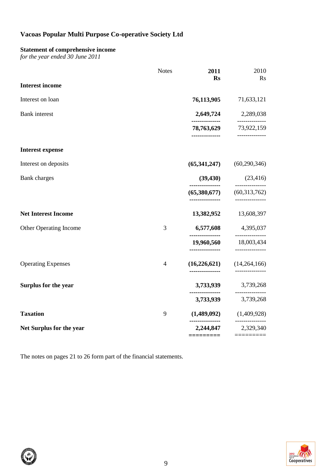## **Statement of comprehensive income**

*for the year ended 30 June 2011*

|                            | <b>Notes</b>   | 2011<br><b>Rs</b>                  | 2010<br><b>Rs</b>                                           |
|----------------------------|----------------|------------------------------------|-------------------------------------------------------------|
| <b>Interest income</b>     |                |                                    |                                                             |
| Interest on loan           |                | 76,113,905                         | 71,633,121                                                  |
| <b>Bank</b> interest       |                | 2,649,724                          | 2,289,038                                                   |
|                            |                | -------------<br>-------------     | ----------<br>78,763,629 73,922,159<br>--------------       |
| <b>Interest expense</b>    |                |                                    |                                                             |
| Interest on deposits       |                | (65,341,247)                       | (60, 290, 346)                                              |
| <b>Bank</b> charges        |                | (39, 430)<br>---------------       | (23, 416)<br>------------                                   |
|                            |                | (65,380,677)<br>---------------    | (60,313,762)<br>-------------                               |
| <b>Net Interest Income</b> |                | 13,382,952                         | 13,608,397                                                  |
| Other Operating Income     | 3              |                                    | 6,577,608 4,395,037                                         |
|                            |                | ---------------<br>--------------- | ---------------<br>19,960,560 18,003,434<br>--------------- |
| <b>Operating Expenses</b>  | $\overline{4}$ | (16,226,621)                       | (14,264,166)                                                |
| Surplus for the year       |                |                                    | 3,733,939 3,739,268                                         |
|                            |                | ---------------<br>3,733,939       | ---------------<br>3,739,268                                |
| <b>Taxation</b>            | 9              |                                    | $(1,489,092)$ $(1,409,928)$<br>---------------              |
| Net Surplus for the year   |                | 2,244,847<br>=========             | 2,329,340                                                   |

The notes on pages 21 to 26 form part of the financial statements.

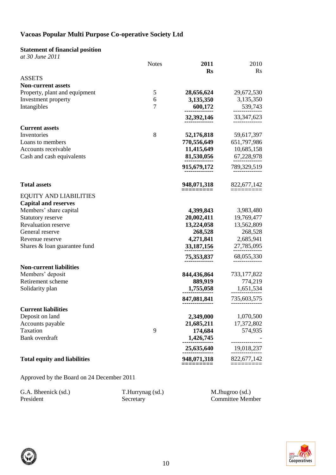# **Statement of financial position**

|                                                 | <b>Notes</b>   | 2011                   | 2010                     |
|-------------------------------------------------|----------------|------------------------|--------------------------|
| <b>ASSETS</b>                                   |                | <b>Rs</b>              | $\rm Rs$                 |
| <b>Non-current assets</b>                       |                |                        |                          |
| Property, plant and equipment                   | 5              | 28,656,624             | 29,672,530               |
| Investment property                             | 6              | 3,135,350              | 3,135,350                |
| Intangibles                                     | $\overline{7}$ | 600,172                | 539,743                  |
|                                                 |                | 32,392,146             | 33, 347, 623             |
| <b>Current assets</b>                           |                |                        |                          |
| Inventories                                     | 8              | 52,176,818             | 59,617,397               |
| Loans to members                                |                | 770,556,649            | 651,797,986              |
| Accounts receivable                             |                | 11,415,649             | 10,685,158               |
| Cash and cash equivalents                       |                | 81,530,056             | 67,228,978               |
|                                                 |                | 915,679,172            | 789,329,519              |
| <b>Total assets</b>                             |                | 948,071,318            | 822,677,142              |
| <b>EQUITY AND LIABILITIES</b>                   |                |                        |                          |
| <b>Capital and reserves</b>                     |                |                        |                          |
| Members' share capital                          |                | 4,399,843              | 3,983,480                |
| Statutory reserve                               |                | 20,002,411             | 19,769,477               |
| <b>Revaluation reserve</b>                      |                | 13,224,058             | 13,562,809               |
| General reserve                                 |                | 268,528<br>4,271,841   | 268,528<br>2,685,941     |
| Revenue reserve<br>Shares & loan guarantee fund |                | 33, 187, 156           | 27,785,095               |
|                                                 |                | 75,353,837             | 68,055,330               |
|                                                 |                |                        |                          |
| <b>Non-current liabilities</b>                  |                |                        |                          |
| Members' deposit<br>Retirement scheme           |                | 844,436,864<br>889,919 | 733, 177, 822<br>774,219 |
| Solidarity plan                                 |                | 1,755,058              | 1,651,534                |
|                                                 |                | 847,081,841            | 735,603,575              |
|                                                 |                |                        |                          |
| <b>Current liabilities</b>                      |                | 2,349,000              |                          |
| Deposit on land<br>Accounts payable             |                | 21,685,211             | 1,070,500<br>17,372,802  |
| Taxation                                        | 9              | 174,684                | 574,935                  |
| Bank overdraft                                  |                | 1,426,745              |                          |
|                                                 |                | 25,635,640             | 19,018,237               |
| <b>Total equity and liabilities</b>             |                | 948,071,318            | 822,677,142              |
|                                                 |                |                        |                          |

Approved by the Board on 24 December 2011

| G.A. Bheenick (sd.) | T.Hurrynag (sd.) | M.Jhugroo (sd.)         |
|---------------------|------------------|-------------------------|
| President           | Secretary        | <b>Committee Member</b> |

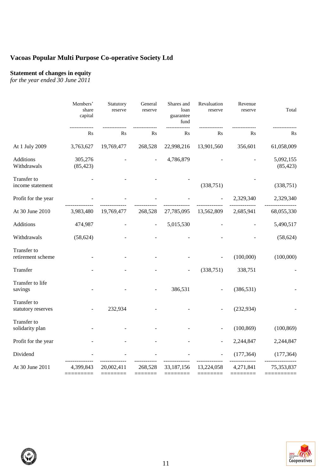### **Statement of changes in equity**

*for the year ended 30 June 2011*

| Members'<br>share<br>capital | Statutory<br>reserve | General<br>reserve | Shares and<br>loan<br>guarantee<br>fund | Revaluation<br>reserve | Revenue<br>reserve | Total                  |
|------------------------------|----------------------|--------------------|-----------------------------------------|------------------------|--------------------|------------------------|
| R <sub>S</sub>               | $\rm Rs$             | $\rm Rs$           | Rs                                      | R <sub>S</sub>         | R <sub>S</sub>     | R <sub>S</sub>         |
| 3,763,627                    | 19,769,477           | 268,528            | 22,998,216                              | 13,901,560             | 356,601            | 61,058,009             |
| 305,276<br>(85, 423)         |                      |                    | 4,786,879                               |                        |                    | 5,092,155<br>(85, 423) |
|                              |                      |                    |                                         | (338,751)              |                    | (338,751)              |
|                              |                      |                    |                                         |                        | 2,329,340          | 2,329,340              |
| 3,983,480                    | 19,769,477           | 268,528            | 27,785,095                              | 13,562,809             | 2,685,941          | 68,055,330             |
| 474,987                      |                      |                    | 5,015,530                               |                        |                    | 5,490,517              |
| (58, 624)                    |                      |                    |                                         |                        |                    | (58, 624)              |
|                              |                      |                    |                                         |                        | (100,000)          | (100,000)              |
|                              |                      |                    |                                         | (338, 751)             | 338,751            |                        |
|                              |                      |                    | 386,531                                 |                        | (386, 531)         |                        |
|                              | 232,934              |                    |                                         |                        | (232, 934)         |                        |
|                              |                      |                    |                                         |                        | (100, 869)         | (100, 869)             |
|                              |                      |                    |                                         |                        | 2,244,847          | 2,244,847              |
|                              |                      |                    |                                         |                        | (177, 364)         | (177, 364)             |
| 4,399,843                    | 20,002,411           | 268,528            | 33,187,156                              | 13,224,058             | 4,271,841          | 75,353,837             |
|                              |                      |                    |                                         |                        |                    |                        |

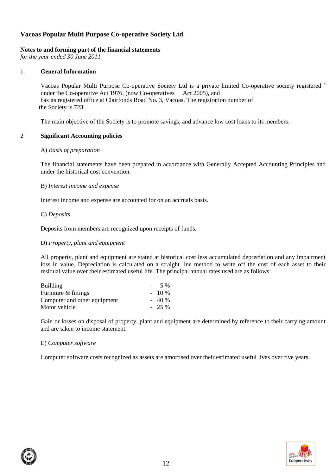### **Notes to and forming part of the financial statements**

*for the year ended 30 June 2011*

### 1. **General Information**

Vacoas Popular Multi Purpose Co-operative Society Ltd is a private limited Co-operative society registered ` under the Co-operative Act 1976, (now Co-operatives Act 2005), and has its registered office at Clairfonds Road No. 3, Vacoas. The registration number of the Society is 723.

The main objective of the Society is to promote savings, and advance low cost loans to its members.

### 2 **Significant Accounting policies**

### A) *Basis of preparation*

The financial statements have been prepared in accordance with Generally Accepted Accounting Principles and under the historical cost convention.

#### B) *Interest income and expense*

Interest income and expense are accounted for on an accruals basis.

### C) *Deposits*

Deposits from members are recognized upon receipts of funds.

#### D) *Property, plant and equipment*

All property, plant and equipment are stated at historical cost less accumulated depreciation and any impairment loss in value. Depreciation is calculated on a straight line method to write off the cost of each asset to their residual value over their estimated useful life. The principal annual rates used are as follows:

| <b>Building</b>              | .5 %    |
|------------------------------|---------|
| Furniture & fittings         | $-10\%$ |
| Computer and other equipment | $-40%$  |
| Motor vehicle                | $-25\%$ |

Gain or losses on disposal of property, plant and equipment are determined by reference to their carrying amount and are taken to income statement.

#### E) *Computer software*

Computer software costs recognized as assets are amortised over their estimated useful lives over five years.

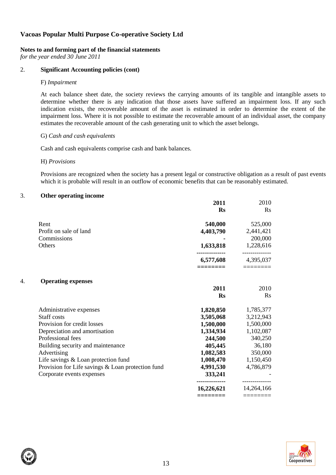#### **Notes to and forming part of the financial statements**

*for the year ended 30 June 2011*

### 2. **Significant Accounting policies (cont)**

#### F) *Impairment*

At each balance sheet date, the society reviews the carrying amounts of its tangible and intangible assets to determine whether there is any indication that those assets have suffered an impairment loss. If any such indication exists, the recoverable amount of the asset is estimated in order to determine the extent of the impairment loss. Where it is not possible to estimate the recoverable amount of an individual asset, the company estimates the recoverable amount of the cash generating unit to which the asset belongs.

#### G) *Cash and cash equivalents*

Cash and cash equivalents comprise cash and bank balances.

#### H) *Provisions*

Provisions are recognized when the society has a present legal or constructive obligation as a result of past events which it is probable will result in an outflow of economic benefits that can be reasonably estimated.

#### 3. **Other operating income**

|    |                                                   | 2011          | 2010                                               |
|----|---------------------------------------------------|---------------|----------------------------------------------------|
|    |                                                   | <b>Rs</b>     | Rs                                                 |
|    | Rent                                              | 540,000       | 525,000                                            |
|    | Profit on sale of land                            | 4,403,790     | 2,441,421                                          |
|    | Commissions                                       |               | 200,000                                            |
|    | Others                                            | 1,633,818     | 1,228,616                                          |
|    |                                                   | <br>6,577,608 | ------------<br>4,395,037                          |
|    |                                                   |               | $\equiv\equiv\equiv\equiv\equiv\equiv\equiv\equiv$ |
| 4. | <b>Operating expenses</b>                         |               |                                                    |
|    |                                                   | 2011          | 2010                                               |
|    |                                                   | <b>Rs</b>     | Rs                                                 |
|    | Administrative expenses                           | 1,820,850     | 1,785,377                                          |
|    | Staff costs                                       | 3,505,068     | 3,212,943                                          |
|    | Provision for credit losses                       | 1,500,000     | 1,500,000                                          |
|    | Depreciation and amortisation                     | 1,334,934     | 1,102,087                                          |
|    | Professional fees                                 | 244,500       | 340,250                                            |
|    | Building security and maintenance                 | 405,445       | 36,180                                             |
|    | Advertising                                       | 1,082,583     | 350,000                                            |
|    | Life savings & Loan protection fund               | 1,008,470     | 1,150,450                                          |
|    | Provision for Life savings & Loan protection fund | 4,991,530     | 4,786,879                                          |
|    | Corporate events expenses                         | 333,241       |                                                    |
|    |                                                   |               | -------------                                      |
|    |                                                   | 16,226,621    | 14,264,166                                         |
|    |                                                   |               | ========                                           |

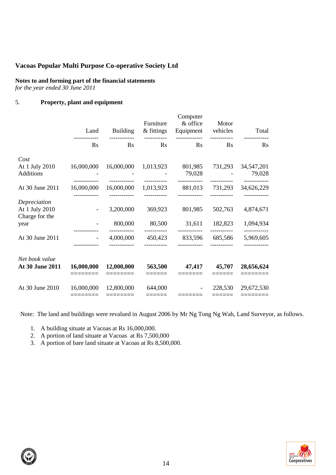# **Notes to and forming part of the financial statements**

*for the year ended 30 June 2011*

## 5. **Property, plant and equipment**

|                                                  | Land                     | <b>Building</b>        | Furniture<br>& fittings | Computer<br>& office<br>Equipment vehicles | Motor             | Total                  |
|--------------------------------------------------|--------------------------|------------------------|-------------------------|--------------------------------------------|-------------------|------------------------|
|                                                  | <b>Rs</b>                | <b>Rs</b>              | $\mathbf{R}$ s          | $\operatorname{Rs}$                        | Rs                | R <sub>S</sub>         |
| Cost<br>At 1 July 2010<br>Additions              | 16,000,000               | 16,000,000             | 1,013,923               | 801,985<br>79,028                          | 731,293           | 34, 547, 201<br>79,028 |
| At 30 June 2011                                  | 16,000,000               | 16,000,000             | 1,013,923               | 881,013                                    | 731,293           | 34,626,229             |
| Depreciation<br>At 1 July 2010<br>Charge for the | $\blacksquare$           | 3,200,000              | 369,923                 | 801,985                                    | 502,763           | 4,874,671              |
| year                                             |                          | 800,000                | 80,500                  | 31,611                                     | 182,823           | 1,094,934              |
| At 30 June 2011                                  | $\overline{\phantom{a}}$ | 4,000,000              | 450,423                 | 833,596                                    | 685,586           | 5,969,605              |
| Net book value<br>At 30 June 2011                | 16,000,000               | 12,000,000             | 563,500                 | 47,417                                     | 45,707            | 28,656,624             |
| At 30 June 2010                                  | 16,000,000<br>========   | 12,800,000<br>======== | 644,000<br>======       |                                            | 228,530<br>====== | 29,672,530<br>======== |

Note: The land and buildings were revalued in August 2006 by Mr Ng Tong Ng Wah, Land Surveyor, as follows.

1. A building situate at Vacoas at Rs 16,000,000.

2. A portion of land situate at Vacoas at Rs 7,500,000

3. A portion of bare land situate at Vacoas at Rs 8,500,000.

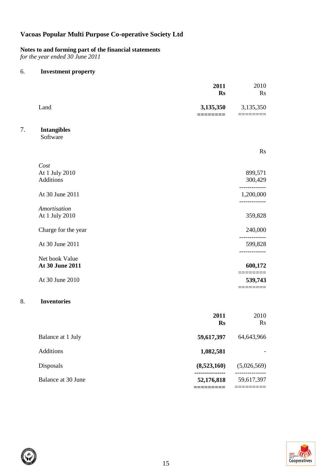**Notes to and forming part of the financial statements**

*for the year ended 30 June 2011*

## 6. **Investment property**

|                                      | 2011<br><b>Rs</b> | 2010<br>Rs              |
|--------------------------------------|-------------------|-------------------------|
| Land                                 | 3,135,350         | 3,135,350<br>======     |
| 7.<br><b>Intangibles</b><br>Software |                   |                         |
|                                      |                   | Rs                      |
| Cost<br>At 1 July 2010<br>Additions  |                   | 899,571<br>300,429      |
| At 30 June 2011                      |                   | 1,200,000<br>---------- |
| Amortisation<br>At 1 July 2010       |                   | 359,828                 |
| Charge for the year                  |                   | 240,000<br>--------     |
| At 30 June 2011                      |                   | 599,828                 |
| Net book Value<br>At 30 June 2011    |                   | 600,172                 |
| At 30 June 2010                      |                   | ========<br>539,743     |
| <b>Inventories</b><br>8.             |                   |                         |
|                                      | 2011<br><b>Rs</b> | 2010<br>Rs              |
| Balance at 1 July                    | 59,617,397        | 64,643,966              |
| Additions                            | 1,082,581         |                         |
| Disposals                            | (8,523,160)       | (5,026,569)             |
| Balance at 30 June                   | 52,176,818        | 59,617,397              |